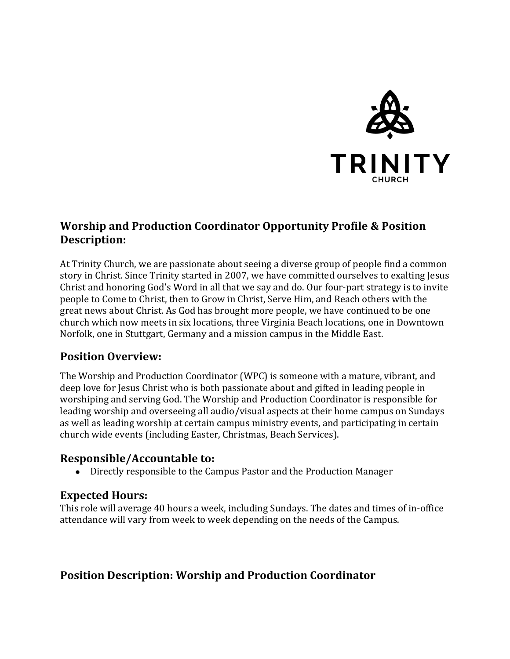

# **Worship and Production Coordinator Opportunity Profile & Position Description:**

At Trinity Church, we are passionate about seeing a diverse group of people find a common story in Christ. Since Trinity started in 2007, we have committed ourselves to exalting Jesus Christ and honoring God's Word in all that we say and do. Our four-part strategy is to invite people to Come to Christ, then to Grow in Christ, Serve Him, and Reach others with the great news about Christ. As God has brought more people, we have continued to be one church which now meets in six locations, three Virginia Beach locations, one in Downtown Norfolk, one in Stuttgart, Germany and a mission campus in the Middle East.

## **Position Overview:**

The Worship and Production Coordinator (WPC) is someone with a mature, vibrant, and deep love for Jesus Christ who is both passionate about and gifted in leading people in worshiping and serving God. The Worship and Production Coordinator is responsible for leading worship and overseeing all audio/visual aspects at their home campus on Sundays as well as leading worship at certain campus ministry events, and participating in certain church wide events (including Easter, Christmas, Beach Services).

## **Responsible/Accountable to:**

• Directly responsible to the Campus Pastor and the Production Manager

### **Expected Hours:**

This role will average 40 hours a week, including Sundays. The dates and times of in-office attendance will vary from week to week depending on the needs of the Campus.

## **Position Description: Worship and Production Coordinator**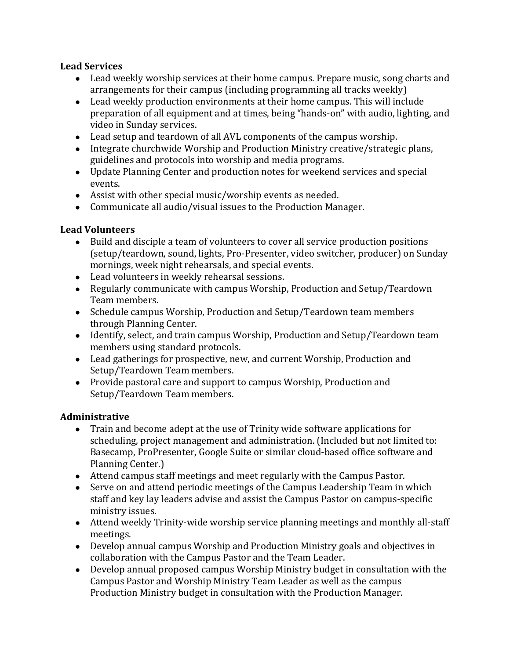### **Lead Services**

- Lead weekly worship services at their home campus. Prepare music, song charts and arrangements for their campus (including programming all tracks weekly)
- Lead weekly production environments at their home campus. This will include preparation of all equipment and at times, being "hands-on" with audio, lighting, and video in Sunday services.
- Lead setup and teardown of all AVL components of the campus worship.
- Integrate churchwide Worship and Production Ministry creative/strategic plans, guidelines and protocols into worship and media programs.
- Update Planning Center and production notes for weekend services and special events.
- Assist with other special music/worship events as needed.
- Communicate all audio/visual issues to the Production Manager.

### **Lead Volunteers**

- Build and disciple a team of volunteers to cover all service production positions (setup/teardown, sound, lights, Pro-Presenter, video switcher, producer) on Sunday mornings, week night rehearsals, and special events.
- Lead volunteers in weekly rehearsal sessions.
- Regularly communicate with campus Worship, Production and Setup/Teardown Team members.
- Schedule campus Worship, Production and Setup/Teardown team members through Planning Center.
- Identify, select, and train campus Worship, Production and Setup/Teardown team members using standard protocols.
- Lead gatherings for prospective, new, and current Worship, Production and Setup/Teardown Team members.
- Provide pastoral care and support to campus Worship, Production and Setup/Teardown Team members.

## **Administrative**

- Train and become adept at the use of Trinity wide software applications for scheduling, project management and administration. (Included but not limited to: Basecamp, ProPresenter, Google Suite or similar cloud-based office software and Planning Center.)
- Attend campus staff meetings and meet regularly with the Campus Pastor.
- Serve on and attend periodic meetings of the Campus Leadership Team in which staff and key lay leaders advise and assist the Campus Pastor on campus-specific ministry issues.
- Attend weekly Trinity-wide worship service planning meetings and monthly all-staff meetings.
- Develop annual campus Worship and Production Ministry goals and objectives in collaboration with the Campus Pastor and the Team Leader.
- Develop annual proposed campus Worship Ministry budget in consultation with the Campus Pastor and Worship Ministry Team Leader as well as the campus Production Ministry budget in consultation with the Production Manager.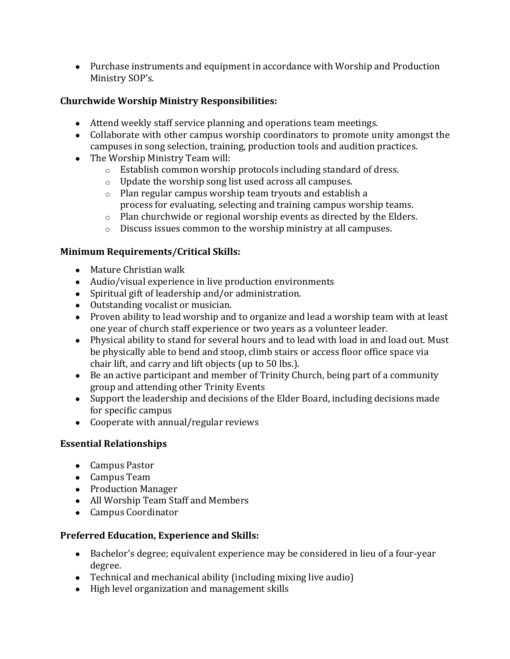• Purchase instruments and equipment in accordance with Worship and Production Ministry SOP's.

### **Churchwide Worship Ministry Responsibilities:**

- Attend weekly staff service planning and operations team meetings.
- Collaborate with other campus worship coordinators to promote unity amongst the campuses in song selection, training, production tools and audition practices.
- The Worship Ministry Team will:
	- $\circ$  Establish common worship protocols including standard of dress.
	- $\circ$  Update the worship song list used across all campuses.
	- $\circ$  Plan regular campus worship team tryouts and establish a process for evaluating, selecting and training campus worship teams.
	- $\circ$  Plan churchwide or regional worship events as directed by the Elders.
	- $\circ$  Discuss issues common to the worship ministry at all campuses.

### **Minimum Requirements/Critical Skills:**

- Mature Christian walk
- Audio/visual experience in live production environments
- Spiritual gift of leadership and/or administration.
- Outstanding vocalist or musician.
- Proven ability to lead worship and to organize and lead a worship team with at least one year of church staff experience or two years as a volunteer leader.
- Physical ability to stand for several hours and to lead with load in and load out. Must be physically able to bend and stoop, climb stairs or access floor office space via chair lift, and carry and lift objects (up to 50 lbs.).
- Be an active participant and member of Trinity Church, being part of a community group and attending other Trinity Events
- Support the leadership and decisions of the Elder Board, including decisions made for specific campus
- $\bullet$  Cooperate with annual/regular reviews

### **Essential Relationships**

- Campus Pastor
- Campus Team
- Production Manager
- All Worship Team Staff and Members
- Campus Coordinator

### **Preferred Education, Experience and Skills:**

- Bachelor's degree; equivalent experience may be considered in lieu of a four-year degree.
- Technical and mechanical ability (including mixing live audio)
- High level organization and management skills